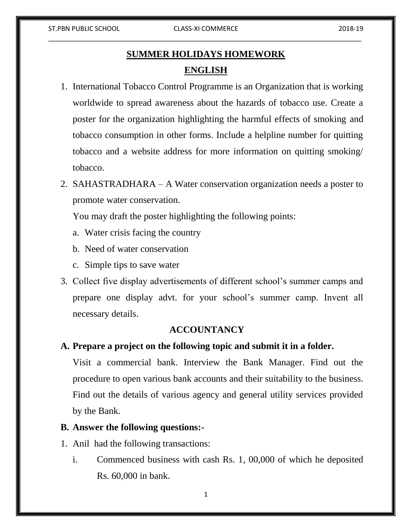# **SUMMER HOLIDAYS HOMEWORK ENGLISH**

- 1. International Tobacco Control Programme is an Organization that is working worldwide to spread awareness about the hazards of tobacco use. Create a poster for the organization highlighting the harmful effects of smoking and tobacco consumption in other forms. Include a helpline number for quitting tobacco and a website address for more information on quitting smoking/ tobacco.
- 2. SAHASTRADHARA A Water conservation organization needs a poster to promote water conservation.

You may draft the poster highlighting the following points:

- a. Water crisis facing the country
- b. Need of water conservation
- c. Simple tips to save water
- 3. Collect five display advertisements of different school's summer camps and prepare one display advt. for your school's summer camp. Invent all necessary details.

## **ACCOUNTANCY**

## **A. Prepare a project on the following topic and submit it in a folder.**

Visit a commercial bank. Interview the Bank Manager. Find out the procedure to open various bank accounts and their suitability to the business. Find out the details of various agency and general utility services provided by the Bank.

## **B. Answer the following questions:-**

- 1. Anil had the following transactions:
	- i. Commenced business with cash Rs. 1, 00,000 of which he deposited Rs. 60,000 in bank.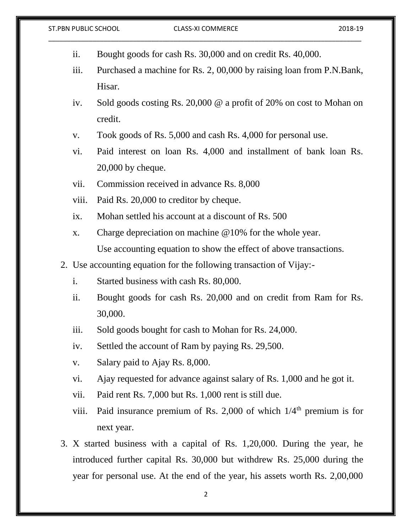| ii.   | Bought goods for cash Rs. 30,000 and on credit Rs. 40,000.                             |
|-------|----------------------------------------------------------------------------------------|
| iii.  | Purchased a machine for Rs. 2, 00,000 by raising loan from P.N.Bank,                   |
|       | Hisar.                                                                                 |
| iv.   | Sold goods costing Rs. $20,000 \, \textcircled{a}$ a profit of 20% on cost to Mohan on |
|       | credit.                                                                                |
| V.    | Took goods of Rs. 5,000 and cash Rs. 4,000 for personal use.                           |
| vi.   | Paid interest on loan Rs. 4,000 and installment of bank loan Rs.                       |
|       | $20,000$ by cheque.                                                                    |
| vii.  | Commission received in advance Rs. 8,000                                               |
| viii. | Paid Rs. 20,000 to creditor by cheque.                                                 |
| ix.   | Mohan settled his account at a discount of Rs. 500                                     |
| X.    | Charge depreciation on machine $@10\%$ for the whole year.                             |
|       | Use accounting equation to show the effect of above transactions.                      |
|       | 2. Use accounting equation for the following transaction of Vijay:-                    |
| i.    | Started business with cash Rs. 80,000.                                                 |
| ii.   | Bought goods for cash Rs. 20,000 and on credit from Ram for Rs.                        |
|       | 30,000.                                                                                |
| iii.  | Sold goods bought for cash to Mohan for Rs. 24,000.                                    |
| iv.   | Settled the account of Ram by paying Rs. 29,500.                                       |
| V.    | Salary paid to Ajay Rs. 8,000.                                                         |
| vi.   | Ajay requested for advance against salary of Rs. 1,000 and he got it.                  |
| vii.  | Paid rent Rs. 7,000 but Rs. 1,000 rent is still due.                                   |
| viii. | Paid insurance premium of Rs. 2,000 of which $1/4th$ premium is for                    |
|       | next year.                                                                             |
|       | 3. X started business with a capital of Rs. 1,20,000. During the year, he              |
|       | introduced further capital Rs. 30,000 but withdrew Rs. 25,000 during the               |
|       | year for personal use. At the end of the year, his assets worth Rs. 2,00,000           |
|       |                                                                                        |

ST.PBN PUBLIC SCHOOL CLASS-XI COMMERCE 2018-19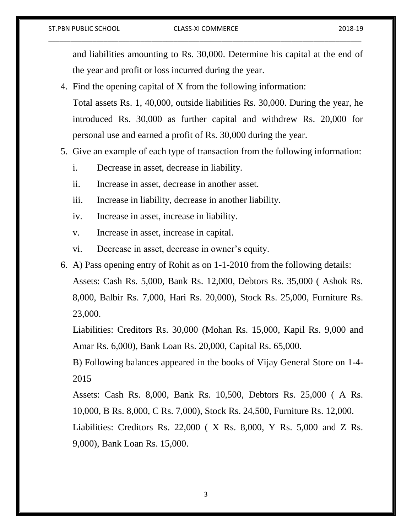#### ST.PBN PUBLIC SCHOOL CLASS-XI COMMERCE 2018-19

and liabilities amounting to Rs. 30,000. Determine his capital at the end of the year and profit or loss incurred during the year.

- 4. Find the opening capital of X from the following information: Total assets Rs. 1, 40,000, outside liabilities Rs. 30,000. During the year, he introduced Rs. 30,000 as further capital and withdrew Rs. 20,000 for personal use and earned a profit of Rs. 30,000 during the year.
- 5. Give an example of each type of transaction from the following information:
	- i. Decrease in asset, decrease in liability.
	- ii. Increase in asset, decrease in another asset.
	- iii. Increase in liability, decrease in another liability.
	- iv. Increase in asset, increase in liability.
	- v. Increase in asset, increase in capital.
	- vi. Decrease in asset, decrease in owner's equity.
- 6. A) Pass opening entry of Rohit as on 1-1-2010 from the following details: Assets: Cash Rs. 5,000, Bank Rs. 12,000, Debtors Rs. 35,000 ( Ashok Rs. 8,000, Balbir Rs. 7,000, Hari Rs. 20,000), Stock Rs. 25,000, Furniture Rs. 23,000.

Liabilities: Creditors Rs. 30,000 (Mohan Rs. 15,000, Kapil Rs. 9,000 and Amar Rs. 6,000), Bank Loan Rs. 20,000, Capital Rs. 65,000.

B) Following balances appeared in the books of Vijay General Store on 1-4- 2015

Assets: Cash Rs. 8,000, Bank Rs. 10,500, Debtors Rs. 25,000 ( A Rs. 10,000, B Rs. 8,000, C Rs. 7,000), Stock Rs. 24,500, Furniture Rs. 12,000.

Liabilities: Creditors Rs. 22,000 ( X Rs. 8,000, Y Rs. 5,000 and Z Rs. 9,000), Bank Loan Rs. 15,000.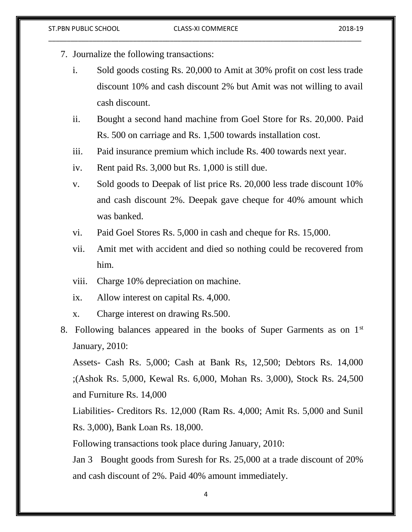- 7. Journalize the following transactions:
	- i. Sold goods costing Rs. 20,000 to Amit at 30% profit on cost less trade discount 10% and cash discount 2% but Amit was not willing to avail cash discount.
	- ii. Bought a second hand machine from Goel Store for Rs. 20,000. Paid Rs. 500 on carriage and Rs. 1,500 towards installation cost.
	- iii. Paid insurance premium which include Rs. 400 towards next year.
	- iv. Rent paid Rs. 3,000 but Rs. 1,000 is still due.
	- v. Sold goods to Deepak of list price Rs. 20,000 less trade discount 10% and cash discount 2%. Deepak gave cheque for 40% amount which was banked.
	- vi. Paid Goel Stores Rs. 5,000 in cash and cheque for Rs. 15,000.
	- vii. Amit met with accident and died so nothing could be recovered from him.
	- viii. Charge 10% depreciation on machine.
	- ix. Allow interest on capital Rs. 4,000.
	- x. Charge interest on drawing Rs.500.
- 8. Following balances appeared in the books of Super Garments as on 1<sup>st</sup> January, 2010:

Assets- Cash Rs. 5,000; Cash at Bank Rs, 12,500; Debtors Rs. 14,000 ;(Ashok Rs. 5,000, Kewal Rs. 6,000, Mohan Rs. 3,000), Stock Rs. 24,500 and Furniture Rs. 14,000

Liabilities- Creditors Rs. 12,000 (Ram Rs. 4,000; Amit Rs. 5,000 and Sunil Rs. 3,000), Bank Loan Rs. 18,000.

Following transactions took place during January, 2010:

Jan 3 Bought goods from Suresh for Rs. 25,000 at a trade discount of 20% and cash discount of 2%. Paid 40% amount immediately.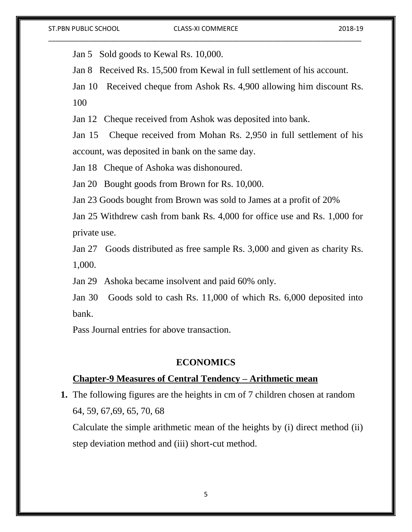Jan 5 Sold goods to Kewal Rs. 10,000.

Jan 8 Received Rs. 15,500 from Kewal in full settlement of his account.

Jan 10 Received cheque from Ashok Rs. 4,900 allowing him discount Rs. 100

Jan 12 Cheque received from Ashok was deposited into bank.

Jan 15 Cheque received from Mohan Rs. 2,950 in full settlement of his account, was deposited in bank on the same day.

Jan 18 Cheque of Ashoka was dishonoured.

Jan 20 Bought goods from Brown for Rs. 10,000.

Jan 23 Goods bought from Brown was sold to James at a profit of 20%

Jan 25 Withdrew cash from bank Rs. 4,000 for office use and Rs. 1,000 for private use.

Jan 27 Goods distributed as free sample Rs. 3,000 and given as charity Rs. 1,000.

Jan 29 Ashoka became insolvent and paid 60% only.

Jan 30 Goods sold to cash Rs. 11,000 of which Rs. 6,000 deposited into bank.

Pass Journal entries for above transaction.

## **ECONOMICS**

### **Chapter-9 Measures of Central Tendency – Arithmetic mean**

**1.** The following figures are the heights in cm of 7 children chosen at random 64, 59, 67,69, 65, 70, 68

Calculate the simple arithmetic mean of the heights by (i) direct method (ii) step deviation method and (iii) short-cut method.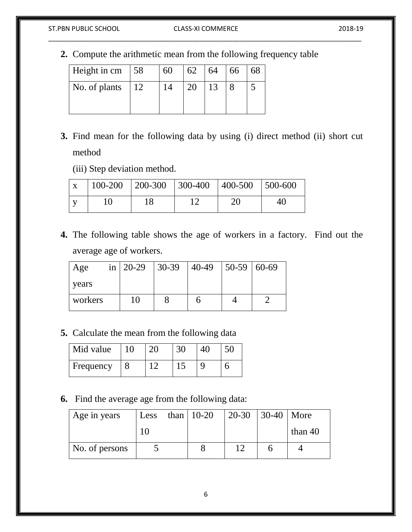### ST.PBN PUBLIC SCHOOL CLASS-XI COMMERCE 2018-19

# \_\_\_\_\_\_\_\_\_\_\_\_\_\_\_\_\_\_\_\_\_\_\_\_\_\_\_\_\_\_\_\_\_\_\_\_\_\_\_\_\_\_\_\_\_\_\_\_\_\_\_\_\_\_\_\_\_\_\_\_\_\_\_\_\_\_\_\_\_\_\_\_\_\_\_\_\_\_\_\_\_\_\_\_\_

**2.** Compute the arithmetic mean from the following frequency table

| $\vert$ Height in cm $\vert$ 58 |    | 60 | 62 | 64 | 66 | 68 |
|---------------------------------|----|----|----|----|----|----|
| No. of plants                   | 12 |    | 20 | 13 |    |    |

- **3.** Find mean for the following data by using (i) direct method (ii) short cut method
	- (iii) Step deviation method.

| $\mathbf{X}$ | $\vert$ 100-200 $\vert$ 200-300 $\vert$ 300-400 $\vert$ 400-500 $\vert$ 500-600 |  |    |  |
|--------------|---------------------------------------------------------------------------------|--|----|--|
|              |                                                                                 |  | റ∩ |  |

**4.** The following table shows the age of workers in a factory. Find out the average age of workers.

| Age     |    | in   20-29   30-39   40-49   50-59   60-69 |  |
|---------|----|--------------------------------------------|--|
| years   |    |                                            |  |
| workers | 10 |                                            |  |

**5.** Calculate the mean from the following data

| Mid value |  |  |  |
|-----------|--|--|--|
| Frequency |  |  |  |

**6.** Find the average age from the following data:

| Age in years   |  | Less than $10-20$ | $20 - 30$ | $\vert$ 30-40   More |           |
|----------------|--|-------------------|-----------|----------------------|-----------|
|                |  |                   |           |                      | than $40$ |
| No. of persons |  |                   |           |                      |           |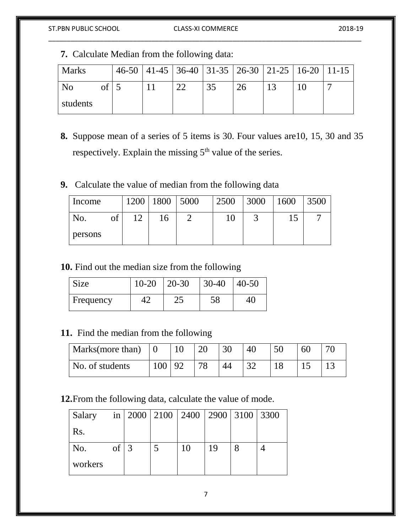# \_\_\_\_\_\_\_\_\_\_\_\_\_\_\_\_\_\_\_\_\_\_\_\_\_\_\_\_\_\_\_\_\_\_\_\_\_\_\_\_\_\_\_\_\_\_\_\_\_\_\_\_\_\_\_\_\_\_\_\_\_\_\_\_\_\_\_\_\_\_\_\_\_\_\_\_\_\_\_\_\_\_\_\_\_

**7.** Calculate Median from the following data:

| <b>Marks</b> |           |  | 46-50   41-45   36-40   31-35   26-30   21-25   16-20   11-15 |    |    |  |
|--------------|-----------|--|---------------------------------------------------------------|----|----|--|
| No           | $of \Box$ |  | 35                                                            | 26 | 12 |  |
| students     |           |  |                                                               |    |    |  |

**8.** Suppose mean of a series of 5 items is 30. Four values are10, 15, 30 and 35 respectively. Explain the missing 5<sup>th</sup> value of the series.

# **9.** Calculate the value of median from the following data

| Income  | 1200       | 1800 | 5000 | 2500 | 3000 | 1600 | 3500 |
|---------|------------|------|------|------|------|------|------|
| No.     | $\sqrt{ }$ | 16   |      | 10   |      |      |      |
| persons |            |      |      |      |      |      |      |

**10.** Find out the median size from the following

| Size      | $10-20$   20-30 | $30-40$ | $40 - 50$ |
|-----------|-----------------|---------|-----------|
| Frequency |                 | 58      | 40        |

# **11.** Find the median from the following

| Marks(more than) $\vert 0 \vert$ |     |           | 20 | 30 |          | 50 | 60 | 70 |
|----------------------------------|-----|-----------|----|----|----------|----|----|----|
| No. of students                  | 100 | <u>92</u> | 7Q | 44 | $\gamma$ |    |    |    |

# **12.**From the following data, calculate the value of mode.

| Salary  |    |   | in   2000   2100   2400   2900   3100   3300 |    |  |
|---------|----|---|----------------------------------------------|----|--|
| Rs.     |    |   |                                              |    |  |
| No.     | of | 3 | 10                                           | 19 |  |
| workers |    |   |                                              |    |  |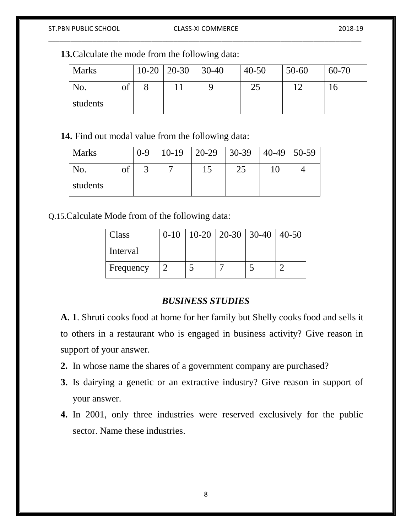# \_\_\_\_\_\_\_\_\_\_\_\_\_\_\_\_\_\_\_\_\_\_\_\_\_\_\_\_\_\_\_\_\_\_\_\_\_\_\_\_\_\_\_\_\_\_\_\_\_\_\_\_\_\_\_\_\_\_\_\_\_\_\_\_\_\_\_\_\_\_\_\_\_\_\_\_\_\_\_\_\_\_\_\_\_

**13.**Calculate the mode from the following data:

| <b>Marks</b> |    | $10-20$ | $ 20-30 $ | $ 30-40$ | $40 - 50$ | $50 - 60$ | 60-70 |
|--------------|----|---------|-----------|----------|-----------|-----------|-------|
| No.          | of |         |           |          | C.        |           |       |
| students     |    |         |           |          |           |           |       |

**14.** Find out modal value from the following data:

| <b>Marks</b> |    | $0 - 9$ |  | $10-19$   20-29   30-39   40-49   50-59 |  |
|--------------|----|---------|--|-----------------------------------------|--|
| No.          | ΟĪ |         |  | 25                                      |  |
| students     |    |         |  |                                         |  |

Q.15.Calculate Mode from of the following data:

| Class     | $0-10$   10-20   20-30   30-40   40-50 |  |  |
|-----------|----------------------------------------|--|--|
| Interval  |                                        |  |  |
| Frequency |                                        |  |  |

# *BUSINESS STUDIES*

**A. 1**. Shruti cooks food at home for her family but Shelly cooks food and sells it to others in a restaurant who is engaged in business activity? Give reason in support of your answer.

- **2.** In whose name the shares of a government company are purchased?
- **3.** Is dairying a genetic or an extractive industry? Give reason in support of your answer.
- **4.** In 2001, only three industries were reserved exclusively for the public sector. Name these industries.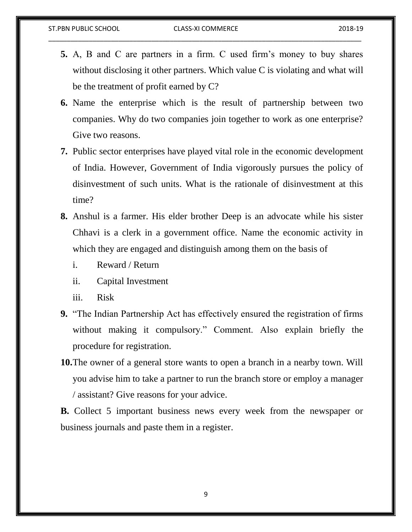- **5.** A, B and C are partners in a firm. C used firm's money to buy shares without disclosing it other partners. Which value C is violating and what will be the treatment of profit earned by C?
- **6.** Name the enterprise which is the result of partnership between two companies. Why do two companies join together to work as one enterprise? Give two reasons.
- **7.** Public sector enterprises have played vital role in the economic development of India. However, Government of India vigorously pursues the policy of disinvestment of such units. What is the rationale of disinvestment at this time?
- **8.** Anshul is a farmer. His elder brother Deep is an advocate while his sister Chhavi is a clerk in a government office. Name the economic activity in which they are engaged and distinguish among them on the basis of
	- i. Reward / Return
	- ii. Capital Investment
	- iii. Risk
- **9.** "The Indian Partnership Act has effectively ensured the registration of firms without making it compulsory." Comment. Also explain briefly the procedure for registration.
- **10.**The owner of a general store wants to open a branch in a nearby town. Will you advise him to take a partner to run the branch store or employ a manager / assistant? Give reasons for your advice.

**B.** Collect 5 important business news every week from the newspaper or business journals and paste them in a register.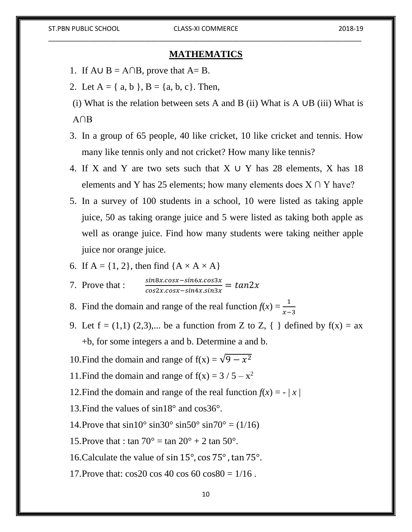### **MATHEMATICS**

- 1. If  $A \cup B = A \cap B$ , prove that  $A = B$ .
- 2. Let  $A = \{ a, b \}, B = \{ a, b, c \}.$  Then,
- (i) What is the relation between sets A and B (ii) What is A ∪B (iii) What is A∩B
- 3. In a group of 65 people, 40 like cricket, 10 like cricket and tennis. How many like tennis only and not cricket? How many like tennis?
- 4. If X and Y are two sets such that  $X \cup Y$  has 28 elements, X has 18 elements and Y has 25 elements; how many elements does  $X \cap Y$  have?
- 5. In a survey of 100 students in a school, 10 were listed as taking apple juice, 50 as taking orange juice and 5 were listed as taking both apple as well as orange juice. Find how many students were taking neither apple juice nor orange juice.
- 6. If  $A = \{1, 2\}$ , then find  $\{A \times A \times A\}$

7. Prove that :  $\frac{\sin 8x \cdot \cos x - \sin 6x \cdot \cos 3x}{\cos 2x \cdot \cos x - \sin 4x \cdot \sin 3x} = \tan 2x$ 

- 8. Find the domain and range of the real function  $f(x) = \frac{1}{x-3}$
- 9. Let  $f = (1,1)$  (2,3),... be a function from Z to Z, { } defined by  $f(x) = ax$ +b, for some integers a and b. Determine a and b.
- 10. Find the domain and range of  $f(x) = \sqrt{9 x^2}$
- 11. Find the domain and range of  $f(x) = 3 / 5 x^2$
- 12. Find the domain and range of the real function  $f(x) = |x|$
- 13.Find the values of sin18° and cos36°.
- 14.Prove that  $\sin 10^\circ \sin 30^\circ \sin 50^\circ \sin 70^\circ = (1/16)$
- 15.Prove that : tan  $70^{\circ}$  = tan  $20^{\circ}$  + 2 tan  $50^{\circ}$ .
- 16. Calculate the value of sin  $15^{\circ}$ , cos  $75^{\circ}$ , tan  $75^{\circ}$ .
- 17. Prove that:  $\cos 20 \cos 40 \cos 60 \cos 80 = 1/16$ .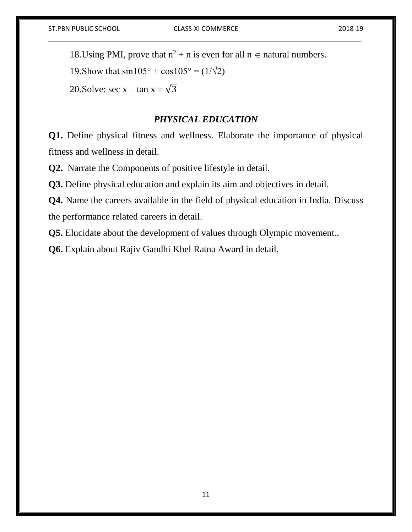18.Using PMI, prove that  $n^2 + n$  is even for all  $n \in$  natural numbers.

19. Show that  $\sin 105^{\circ} + \cos 105^{\circ} = (1/\sqrt{2})$ 

20. Solve: sec x – tan  $x = \sqrt{3}$ 

## *PHYSICAL EDUCATION*

**Q1.** Define physical fitness and wellness. Elaborate the importance of physical fitness and wellness in detail.

**Q2.** Narrate the Components of positive lifestyle in detail.

**Q3.** Define physical education and explain its aim and objectives in detail.

**Q4.** Name the careers available in the field of physical education in India. Discuss the performance related careers in detail.

**Q5.** Elucidate about the development of values through Olympic movement..

**Q6.** Explain about Rajiv Gandhi Khel Ratna Award in detail.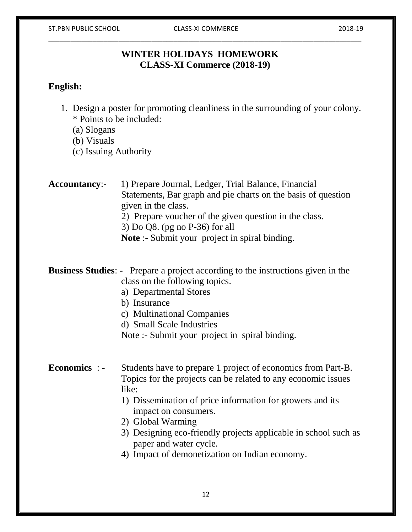# **WINTER HOLIDAYS HOMEWORK CLASS-XI Commerce (2018-19)**

# **English:**

1. Design a poster for promoting cleanliness in the surrounding of your colony. \* Points to be included:

(a) Slogans

(b) Visuals

(c) Issuing Authority

**Accountancy:-** 1) Prepare Journal, Ledger, Trial Balance, Financial Statements, Bar graph and pie charts on the basis of question given in the class.

2) Prepare voucher of the given question in the class.

3) Do Q8. (pg no P-36) for all

**Note** :- Submit your project in spiral binding.

**Business Studies**: - Prepare a project according to the instructions given in the class on the following topics.

- a) Departmental Stores
- b) Insurance
- c) Multinational Companies
- d) Small Scale Industries

Note :- Submit your project in spiral binding.

# **Economics** : - Students have to prepare 1 project of economics from Part-B. Topics for the projects can be related to any economic issues like:

- 1) Dissemination of price information for growers and its impact on consumers.
- 2) Global Warming
- 3) Designing eco-friendly projects applicable in school such as paper and water cycle.
- 4) Impact of demonetization on Indian economy.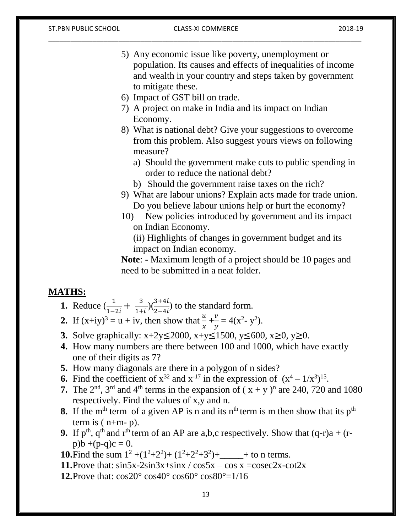- 5) Any economic issue like poverty, unemployment or population. Its causes and effects of inequalities of income and wealth in your country and steps taken by government to mitigate these.
- 6) Impact of GST bill on trade.
- 7) A project on make in India and its impact on Indian Economy.
- 8) What is national debt? Give your suggestions to overcome from this problem. Also suggest yours views on following measure?
	- a) Should the government make cuts to public spending in order to reduce the national debt?
	- b) Should the government raise taxes on the rich?
- 9) What are labour unions? Explain acts made for trade union. Do you believe labour unions help or hurt the economy?
- 10) New policies introduced by government and its impact on Indian Economy.

(ii) Highlights of changes in government budget and its impact on Indian economy.

**Note**: - Maximum length of a project should be 10 pages and need to be submitted in a neat folder.

## **MATHS:**

- **1.** Reduce  $\left(\frac{1}{1-2i} + \frac{3}{1+i}\right)$  $\frac{3}{1+i}$ )( $\frac{3+4i}{2-4i}$ ) to the standard form.
- 2. If  $(x+iy)^3 = u + iv$ , then show that  $\frac{u}{x} + \frac{v}{y}$  $\frac{v}{y} = 4(x^2 - y^2).$
- **3.** Solve graphically: x+2y≤2000, x+y≤1500, y≤600, x≥0, y≥0.
- **4.** How many numbers are there between 100 and 1000, which have exactly one of their digits as 7?
- **5.** How many diagonals are there in a polygon of n sides?
- **6.** Find the coefficient of  $x^{32}$  and  $x^{-17}$  in the expression of  $(x^4 1/x^3)^{15}$ .
- **7.** The  $2<sup>nd</sup>$ ,  $3<sup>rd</sup>$  and  $4<sup>th</sup>$  terms in the expansion of  $(x + y)<sup>n</sup>$  are 240, 720 and 1080 respectively. Find the values of x,y and n.
- **8.** If the m<sup>th</sup> term of a given AP is n and its n<sup>th</sup> term is m then show that its  $p<sup>th</sup>$ term is  $(n+m-p)$ .
- **9.** If  $p^{th}$ ,  $q^{th}$  and  $r^{th}$  term of an AP are a,b,c respectively. Show that  $(q-r)a + (r-r)a$  $p)$ b +(p-q)c = 0.
- **10.**Find the sum  $1^2 + (1^2 + 2^2) + (1^2 + 2^2 + 3^2) +$  to n terms.
- **11.** Prove that:  $\sin 5x 2\sin 3x + \sin x / \cos 5x \cos x = \csc 2x \cot 2x$
- **12.**Prove that:  $\cos 20^\circ \cos 40^\circ \cos 60^\circ \cos 80^\circ = 1/16$